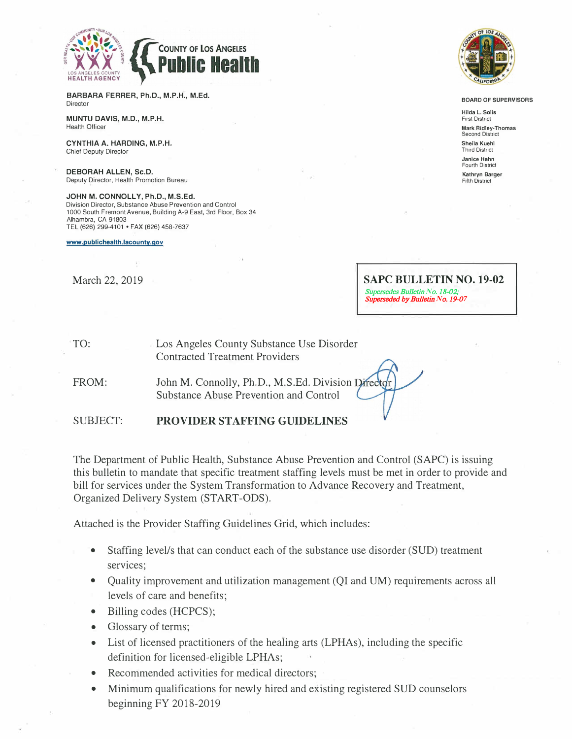

**BARBARA FERRER, Ph.D., M.P.H., M.Ed. Director** 

**MUNTU DAVIS, M.D., M.P.H.**  Health Officer

**CYNTHIA A. HARDING, M.P.H.**  Chief Deputy Director

**DEBORAH ALLEN, Sc.D.**  Deputy Director, Health Promotion Bureau

**JOHN M. CONNOLLY, Ph.D., M.S.Ed.**  Division Director, Substance Abuse Prevention and Control 1000 South Fremont Avenue, Building A-9 East, 3rd Floor, Box 34 Alhambra, CA 91803 TEL (626) 299-4101 • FAX (626) 458-7637

**www.publichealth.lacounty.gov** 

March 22, 2019



**BOARD OF SUPERVISORS** 

**Hilda L. Solis First District Mark Ridley-Thomas**  Second District **Sheila Kuehl**  Third District **Janice Hahn**  Fourth District **Kathryn Barger**  Fifth District

**SAPC BULLETIN NO. 19-02**  Supersedes Bulletin *N*o. 18-02; Superseded by Bulletin *N*o. 19-0*7*

| TO: | Los Angeles County Substance Use Disorder |  |
|-----|-------------------------------------------|--|
|     | <b>Contracted Treatment Providers</b>     |  |

FROM: John M. Connolly, Ph.D., M.S.Ed. Division Director Substance Abuse Prevention and Control

SUBJECT: **PROVIDER STAFFING GUIDELINES** 

The Department of Public Health, Substance Abuse Prevention and Control (SAPC) is issuing this bulletin to mandate that specific treatment staffing levels must be met in order to provide and bill for services under the System Transformation to Advance Recovery and Treatment, Organized Delivery System (START-ODS).

Attached is the Provider Staffing Guidelines Grid, which includes:

- Staffing level/s that can conduct each of the substance use disorder (SUD) treatment services;
- Quality improvement and utilization management (QI and UM) requirements across all levels of care and benefits;
- Billing codes (HCPCS);
- Glossary of terms;
- List of licensed practitioners of the healing arts (LPHAs), including the specific definition for licensed-eligible LPHAs;
- Recommended activities for medical directors;
- Minimum qualifications for newly hired and existing registered SUD counselors beginning FY 2018-2019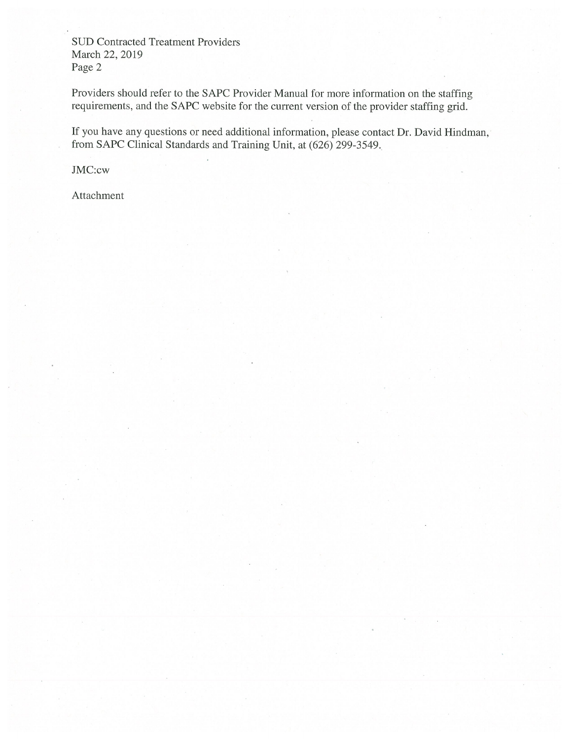**SUD Contracted Treatment Providers** March 22, 2019 Page 2

Providers should refer to the SAPC Provider Manual for more information on the staffing requirements, and the SAPC website for the current version of the provider staffing grid.

If you have any questions or need additional information, please contact Dr. David Hindman, from SAPC Clinical Standards and Training Unit, at (626) 299-3549.

JMC:cw

Attachment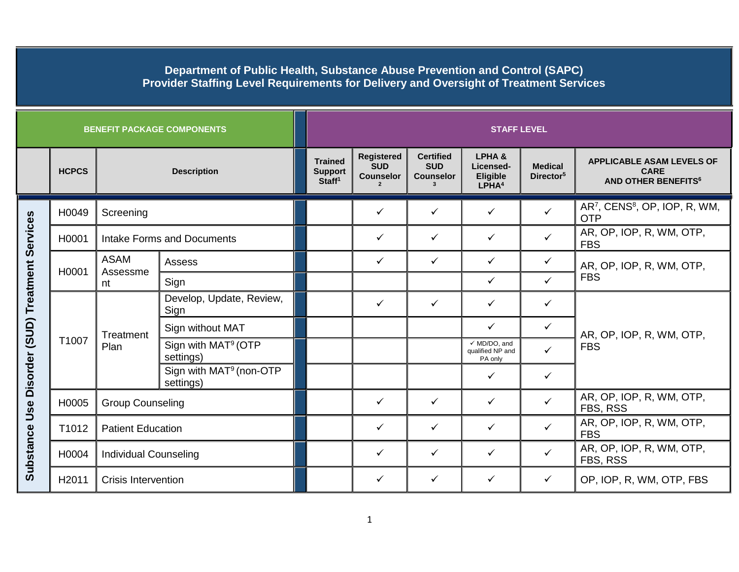| <b>BENEFIT PACKAGE COMPONENTS</b>     |                   |                                   |                                                  |                                                        | <b>STAFF LEVEL</b>                                  |                                                    |                                                        |                                         |                                                                                          |  |  |
|---------------------------------------|-------------------|-----------------------------------|--------------------------------------------------|--------------------------------------------------------|-----------------------------------------------------|----------------------------------------------------|--------------------------------------------------------|-----------------------------------------|------------------------------------------------------------------------------------------|--|--|
|                                       | <b>HCPCS</b>      | <b>Description</b>                |                                                  | <b>Trained</b><br><b>Support</b><br>Staff <sup>1</sup> | <b>Registered</b><br><b>SUD</b><br><b>Counselor</b> | <b>Certified</b><br><b>SUD</b><br><b>Counselor</b> | LPHA&<br>Licensed-<br>Eligible<br>LPHA <sup>4</sup>    | <b>Medical</b><br>Director <sup>5</sup> | <b>APPLICABLE ASAM LEVELS OF</b><br><b>CARE</b><br><b>AND OTHER BENEFITS<sup>6</sup></b> |  |  |
|                                       | H0049             | Screening                         |                                                  |                                                        | $\checkmark$                                        | ✓                                                  | ✓                                                      | $\checkmark$                            | AR <sup>7</sup> , CENS <sup>8</sup> , OP, IOP, R, WM,<br><b>OTP</b>                      |  |  |
|                                       | H0001             | <b>Intake Forms and Documents</b> |                                                  |                                                        | ✓                                                   | $\checkmark$                                       | ✓                                                      | $\checkmark$                            | AR, OP, IOP, R, WM, OTP,<br><b>FBS</b>                                                   |  |  |
|                                       | H0001             | <b>ASAM</b><br>Assessme<br>nt     | Assess                                           |                                                        | $\checkmark$                                        | $\checkmark$                                       | $\checkmark$                                           | $\checkmark$                            | AR, OP, IOP, R, WM, OTP,<br><b>FBS</b>                                                   |  |  |
|                                       |                   |                                   | Sign                                             |                                                        |                                                     |                                                    | $\checkmark$                                           | $\checkmark$                            |                                                                                          |  |  |
|                                       | T1007             | Treatment<br>Plan                 | Develop, Update, Review,<br>Sign                 |                                                        | ✓                                                   | $\checkmark$                                       | ✓                                                      | $\checkmark$                            |                                                                                          |  |  |
|                                       |                   |                                   | Sign without MAT                                 |                                                        |                                                     |                                                    | $\checkmark$                                           | $\checkmark$                            | AR, OP, IOP, R, WM, OTP,                                                                 |  |  |
| Use Disorder (SUD) Treatment Services |                   |                                   | Sign with MAT <sup>9</sup> (OTP<br>settings)     |                                                        |                                                     |                                                    | $\checkmark$ MD/DO, and<br>qualified NP and<br>PA only | $\checkmark$                            | <b>FBS</b>                                                                               |  |  |
|                                       |                   |                                   | Sign with MAT <sup>9</sup> (non-OTP<br>settings) |                                                        |                                                     |                                                    | $\checkmark$                                           | $\checkmark$                            |                                                                                          |  |  |
|                                       | H0005             | <b>Group Counseling</b>           |                                                  |                                                        | ✓                                                   | $\checkmark$                                       | ✓                                                      | $\checkmark$                            | AR, OP, IOP, R, WM, OTP,<br>FBS, RSS                                                     |  |  |
|                                       | T1012             | <b>Patient Education</b>          |                                                  |                                                        | $\checkmark$                                        | $\checkmark$                                       | ✓                                                      | $\checkmark$                            | AR, OP, IOP, R, WM, OTP,<br><b>FBS</b>                                                   |  |  |
| <b>Substance</b>                      | H0004             | <b>Individual Counseling</b>      |                                                  |                                                        | ✓                                                   | $\checkmark$                                       | ✓                                                      | $\checkmark$                            | AR, OP, IOP, R, WM, OTP,<br>FBS, RSS                                                     |  |  |
|                                       | H <sub>2011</sub> | <b>Crisis Intervention</b>        |                                                  |                                                        | ✓                                                   | ✓                                                  | $\checkmark$                                           | $\checkmark$                            | OP, IOP, R, WM, OTP, FBS                                                                 |  |  |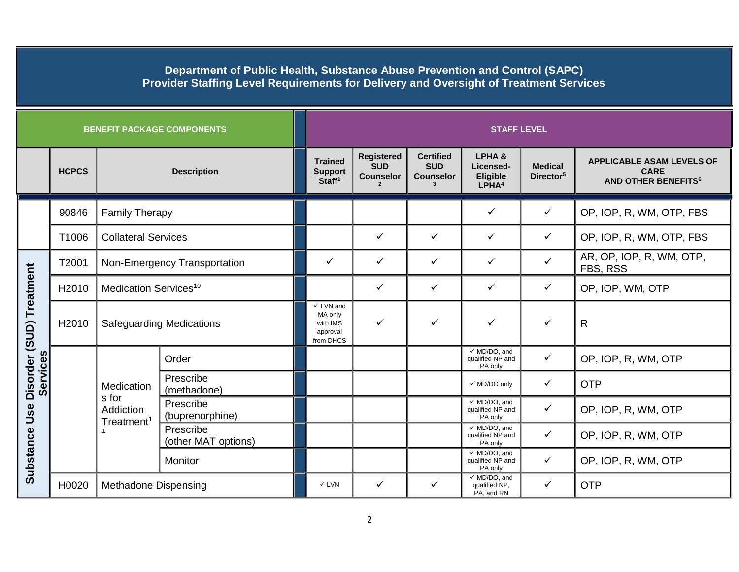|                          |                                              |                                   | <b>BENEFIT PACKAGE COMPONENTS</b> | <b>STAFF LEVEL</b>                                                   |                                                     |                                                        |                                                        |                                         |                                                                                          |  |
|--------------------------|----------------------------------------------|-----------------------------------|-----------------------------------|----------------------------------------------------------------------|-----------------------------------------------------|--------------------------------------------------------|--------------------------------------------------------|-----------------------------------------|------------------------------------------------------------------------------------------|--|
|                          | <b>HCPCS</b>                                 | <b>Description</b>                |                                   | <b>Trained</b><br><b>Support</b><br>Staff <sup>1</sup>               | <b>Registered</b><br><b>SUD</b><br><b>Counselor</b> | <b>Certified</b><br><b>SUD</b><br><b>Counselor</b>     | LPHA&<br>Licensed-<br>Eligible<br>LPHA <sup>4</sup>    | <b>Medical</b><br>Director <sup>5</sup> | <b>APPLICABLE ASAM LEVELS OF</b><br><b>CARE</b><br><b>AND OTHER BENEFITS<sup>6</sup></b> |  |
|                          | 90846                                        | <b>Family Therapy</b>             |                                   |                                                                      |                                                     |                                                        | $\checkmark$                                           | $\checkmark$                            | OP, IOP, R, WM, OTP, FBS                                                                 |  |
|                          | T1006                                        | <b>Collateral Services</b>        |                                   |                                                                      | $\checkmark$                                        | $\checkmark$                                           | ✓                                                      | $\checkmark$                            | OP, IOP, R, WM, OTP, FBS                                                                 |  |
| Disorder (SUD) Treatment | T2001                                        | Non-Emergency Transportation      |                                   | ✓                                                                    | $\checkmark$                                        | $\checkmark$                                           | $\checkmark$                                           | $\checkmark$                            | AR, OP, IOP, R, WM, OTP,<br>FBS, RSS                                                     |  |
|                          | H2010                                        | Medication Services <sup>10</sup> |                                   |                                                                      | $\checkmark$                                        | $\checkmark$                                           | $\checkmark$                                           | $\checkmark$                            | OP, IOP, WM, OTP                                                                         |  |
|                          | H <sub>2010</sub>                            | <b>Safeguarding Medications</b>   |                                   | $\checkmark$ LVN and<br>MA only<br>with IMS<br>approval<br>from DHCS | ✓                                                   | $\checkmark$                                           | ✓                                                      | ✓                                       | R                                                                                        |  |
|                          |                                              | Medication                        | Order                             |                                                                      |                                                     |                                                        | $\sqrt{MD/DO}$ , and<br>qualified NP and<br>PA only    | $\checkmark$                            | OP, IOP, R, WM, OTP                                                                      |  |
| <b>Services</b>          |                                              |                                   | Prescribe<br>(methadone)          |                                                                      |                                                     |                                                        | √ MD/DO only                                           | $\checkmark$                            | <b>OTP</b>                                                                               |  |
| Use                      | s for<br>Addiction<br>Treatment <sup>1</sup> |                                   | Prescribe<br>(buprenorphine)      |                                                                      |                                                     |                                                        | $\checkmark$ MD/DO, and<br>qualified NP and<br>PA only | $\checkmark$                            | OP, IOP, R, WM, OTP                                                                      |  |
|                          |                                              | Prescribe<br>(other MAT options)  |                                   |                                                                      |                                                     | $\checkmark$ MD/DO, and<br>qualified NP and<br>PA only | $\checkmark$                                           | OP, IOP, R, WM, OTP                     |                                                                                          |  |
| Substance                |                                              |                                   | Monitor                           |                                                                      |                                                     |                                                        | $\checkmark$ MD/DO, and<br>qualified NP and<br>PA only | $\checkmark$                            | OP, IOP, R, WM, OTP                                                                      |  |
|                          | H0020                                        | Methadone Dispensing              |                                   | $\checkmark$ LVN                                                     | $\checkmark$                                        | $\checkmark$                                           | $\checkmark$ MD/DO, and<br>qualified NP,<br>PA, and RN | $\checkmark$                            | <b>OTP</b>                                                                               |  |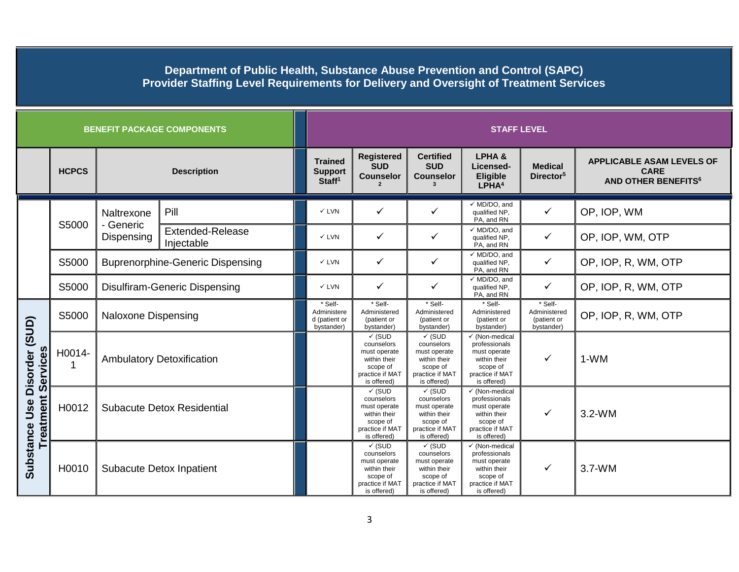|                                                       |              |                                         | <b>BENEFIT PACKAGE COMPONENTS</b>     | <b>STAFF LEVEL</b>                                     |                                                                                                               |                                                                                                               |                                                                                                                          |                                                      |                                                                                          |
|-------------------------------------------------------|--------------|-----------------------------------------|---------------------------------------|--------------------------------------------------------|---------------------------------------------------------------------------------------------------------------|---------------------------------------------------------------------------------------------------------------|--------------------------------------------------------------------------------------------------------------------------|------------------------------------------------------|------------------------------------------------------------------------------------------|
|                                                       | <b>HCPCS</b> | <b>Description</b>                      |                                       | <b>Trained</b><br><b>Support</b><br>Staff <sup>1</sup> | <b>Registered</b><br><b>SUD</b><br><b>Counselor</b>                                                           | <b>Certified</b><br><b>SUD</b><br><b>Counselor</b>                                                            | LPHA&<br>Licensed-<br>Eligible<br>LPHA <sup>4</sup>                                                                      | <b>Medical</b><br>Director <sup>5</sup>              | <b>APPLICABLE ASAM LEVELS OF</b><br><b>CARE</b><br><b>AND OTHER BENEFITS<sup>6</sup></b> |
|                                                       | S5000        | Naltrexone                              | Pill                                  | $\times$ LVN                                           | $\checkmark$                                                                                                  | ✓                                                                                                             | $\checkmark$ MD/DO, and<br>qualified NP,<br>PA, and RN                                                                   | $\checkmark$                                         | OP, IOP, WM                                                                              |
|                                                       |              | - Generic<br>Dispensing                 | <b>Extended-Release</b><br>Injectable | $\checkmark$ LVN                                       | $\checkmark$                                                                                                  | ✓                                                                                                             | $\checkmark$ MD/DO, and<br>qualified NP,<br>PA, and RN                                                                   | ✓                                                    | OP, IOP, WM, OTP                                                                         |
|                                                       | S5000        | <b>Buprenorphine-Generic Dispensing</b> |                                       | $\checkmark$ LVN                                       | $\checkmark$                                                                                                  | ✓                                                                                                             | $\checkmark$ MD/DO, and<br>qualified NP,<br>PA, and RN                                                                   | $\checkmark$                                         | OP, IOP, R, WM, OTP                                                                      |
|                                                       | S5000        |                                         | Disulfiram-Generic Dispensing         | $\checkmark$ LVN                                       | $\checkmark$                                                                                                  | ✓                                                                                                             | $\checkmark$ MD/DO, and<br>qualified NP,<br>PA, and RN                                                                   | $\checkmark$                                         | OP, IOP, R, WM, OTP                                                                      |
| Disorder (SUD)<br><b>Service:</b><br>Treatment<br>Use | S5000        | <b>Naloxone Dispensing</b>              |                                       | * Self-<br>Administere<br>d (patient or<br>bystander)  | * Self-<br>Administered<br>(patient or<br>bystander)                                                          | * Self-<br>Administered<br>(patient or<br>bystander)                                                          | * Self-<br>Administered<br>(patient or<br>bystander)                                                                     | * Self-<br>Administered<br>(patient or<br>bystander) | OP, IOP, R, WM, OTP                                                                      |
|                                                       | H0014-       | <b>Ambulatory Detoxification</b>        |                                       |                                                        | $\checkmark$ (SUD<br>counselors<br>must operate<br>within their<br>scope of<br>practice if MAT<br>is offered) | $\checkmark$ (SUD<br>counselors<br>must operate<br>within their<br>scope of<br>practice if MAT<br>is offered) | √ (Non-medical<br>professionals<br>must operate<br>within their<br>scope of<br>practice if MAT<br>is offered)            | ✓                                                    | $1-WM$                                                                                   |
|                                                       | H0012        | Subacute Detox Residential              |                                       |                                                        | $\checkmark$ (SUD<br>counselors<br>must operate<br>within their<br>scope of<br>practice if MAT<br>is offered) | $\checkmark$ (SUD<br>counselors<br>must operate<br>within their<br>scope of<br>practice if MAT<br>is offered) | $\checkmark$ (Non-medical<br>professionals<br>must operate<br>within their<br>scope of<br>practice if MAT<br>is offered) | ✓                                                    | $3.2-WM$                                                                                 |
| <b>Substance</b>                                      | H0010        |                                         | <b>Subacute Detox Inpatient</b>       |                                                        | $\checkmark$ (SUD<br>counselors<br>must operate<br>within their<br>scope of<br>practice if MAT<br>is offered) | $\checkmark$ (SUD<br>counselors<br>must operate<br>within their<br>scope of<br>practice if MAT<br>is offered) | $\checkmark$ (Non-medical<br>professionals<br>must operate<br>within their<br>scope of<br>practice if MAT<br>is offered) | ✓                                                    | $3.7-WM$                                                                                 |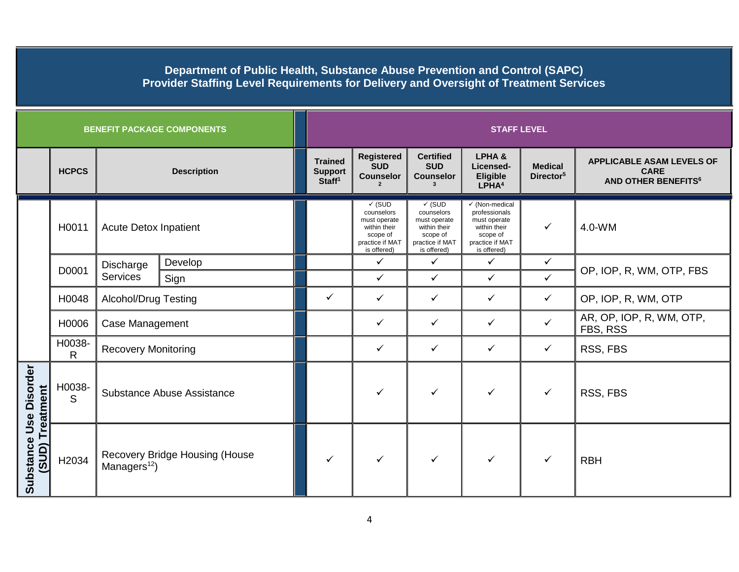|                                           |                                    |                                                            | <b>BENEFIT PACKAGE COMPONENTS</b>                      |                                                     | <b>STAFF LEVEL</b>                                                                                            |                                                                                                               |                                                                                                                          |                                                                                          |                                      |  |  |
|-------------------------------------------|------------------------------------|------------------------------------------------------------|--------------------------------------------------------|-----------------------------------------------------|---------------------------------------------------------------------------------------------------------------|---------------------------------------------------------------------------------------------------------------|--------------------------------------------------------------------------------------------------------------------------|------------------------------------------------------------------------------------------|--------------------------------------|--|--|
|                                           | <b>HCPCS</b><br><b>Description</b> |                                                            | <b>Trained</b><br><b>Support</b><br>Staff <sup>1</sup> | <b>Registered</b><br><b>SUD</b><br><b>Counselor</b> | <b>Certified</b><br><b>SUD</b><br><b>Counselor</b>                                                            | LPHA&<br>Licensed-<br>Eligible<br>LPHA <sup>4</sup>                                                           | <b>Medical</b><br>Director <sup>5</sup>                                                                                  | <b>APPLICABLE ASAM LEVELS OF</b><br><b>CARE</b><br><b>AND OTHER BENEFITS<sup>6</sup></b> |                                      |  |  |
|                                           | H0011                              | <b>Acute Detox Inpatient</b>                               |                                                        |                                                     | $\checkmark$ (SUD<br>counselors<br>must operate<br>within their<br>scope of<br>practice if MAT<br>is offered) | $\checkmark$ (SUD<br>counselors<br>must operate<br>within their<br>scope of<br>practice if MAT<br>is offered) | $\checkmark$ (Non-medical<br>professionals<br>must operate<br>within their<br>scope of<br>practice if MAT<br>is offered) | $\checkmark$                                                                             | 4.0-WM                               |  |  |
|                                           | D0001                              | Discharge<br>Services                                      | Develop                                                |                                                     | $\checkmark$                                                                                                  | $\checkmark$                                                                                                  | $\checkmark$                                                                                                             | $\checkmark$                                                                             |                                      |  |  |
|                                           |                                    |                                                            | Sign                                                   |                                                     | $\checkmark$                                                                                                  | $\checkmark$                                                                                                  | $\checkmark$                                                                                                             | $\checkmark$                                                                             | OP, IOP, R, WM, OTP, FBS             |  |  |
|                                           | H0048                              | <b>Alcohol/Drug Testing</b>                                |                                                        | $\checkmark$                                        | $\checkmark$                                                                                                  | ✓                                                                                                             | ✓                                                                                                                        | ✓                                                                                        | OP, IOP, R, WM, OTP                  |  |  |
|                                           | H0006                              | Case Management                                            |                                                        |                                                     | $\checkmark$                                                                                                  | ✓                                                                                                             | ✓                                                                                                                        | $\checkmark$                                                                             | AR, OP, IOP, R, WM, OTP,<br>FBS, RSS |  |  |
|                                           | H0038-<br>$\mathsf{R}$             | <b>Recovery Monitoring</b>                                 |                                                        |                                                     | $\checkmark$                                                                                                  | $\checkmark$                                                                                                  | ✓                                                                                                                        | ✓                                                                                        | RSS, FBS                             |  |  |
|                                           | H0038-<br>S                        | Substance Abuse Assistance                                 |                                                        |                                                     | ✓                                                                                                             | ✓                                                                                                             | ✓                                                                                                                        | $\checkmark$                                                                             | RSS, FBS                             |  |  |
| Substance Use Disorder<br>(SUD) Treatment | H2034                              | Recovery Bridge Housing (House<br>Managers <sup>12</sup> ) |                                                        | ✓                                                   | $\checkmark$                                                                                                  | ✓                                                                                                             | $\checkmark$                                                                                                             | ✓                                                                                        | <b>RBH</b>                           |  |  |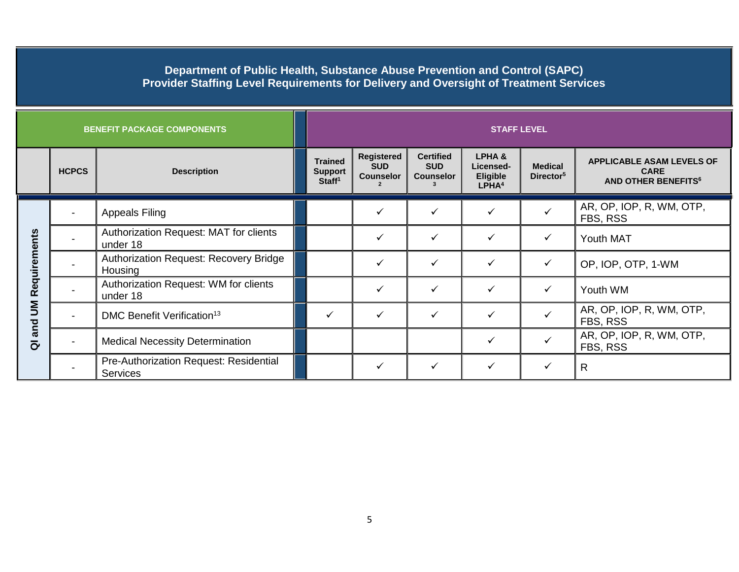| <b>BENEFIT PACKAGE COMPONENTS</b>                         |              |                                                          | <b>STAFF LEVEL</b>                                     |                                              |                                                    |                                                            |                                         |                                                                                          |  |
|-----------------------------------------------------------|--------------|----------------------------------------------------------|--------------------------------------------------------|----------------------------------------------|----------------------------------------------------|------------------------------------------------------------|-----------------------------------------|------------------------------------------------------------------------------------------|--|
|                                                           | <b>HCPCS</b> | <b>Description</b>                                       | <b>Trained</b><br><b>Support</b><br>Staff <sup>1</sup> | Registered<br><b>SUD</b><br><b>Counselor</b> | <b>Certified</b><br><b>SUD</b><br><b>Counselor</b> | LPHA&<br>Licensed-<br><b>Eligible</b><br>LPHA <sup>4</sup> | <b>Medical</b><br>Director <sup>5</sup> | <b>APPLICABLE ASAM LEVELS OF</b><br><b>CARE</b><br><b>AND OTHER BENEFITS<sup>6</sup></b> |  |
| Requirements<br>$\sum_{i=1}^{n}$<br>and<br>$\overline{c}$ |              | <b>Appeals Filing</b>                                    |                                                        |                                              |                                                    | ✓                                                          |                                         | AR, OP, IOP, R, WM, OTP,<br>FBS, RSS                                                     |  |
|                                                           |              | Authorization Request: MAT for clients<br>under 18       |                                                        | ✓                                            | ✓                                                  | ✓                                                          | $\checkmark$                            | Youth MAT                                                                                |  |
|                                                           |              | <b>Authorization Request: Recovery Bridge</b><br>Housing |                                                        |                                              | ✓                                                  | ✓                                                          | $\checkmark$                            | OP, IOP, OTP, 1-WM                                                                       |  |
|                                                           |              | Authorization Request: WM for clients<br>under 18        |                                                        | $\checkmark$                                 | ✓                                                  | ✓                                                          | $\checkmark$                            | Youth WM                                                                                 |  |
|                                                           |              | DMC Benefit Verification <sup>13</sup>                   | ✓                                                      | ✓                                            | ✓                                                  |                                                            |                                         | AR, OP, IOP, R, WM, OTP,<br>FBS, RSS                                                     |  |
|                                                           |              | <b>Medical Necessity Determination</b>                   |                                                        |                                              |                                                    | $\checkmark$                                               |                                         | AR, OP, IOP, R, WM, OTP,<br>FBS, RSS                                                     |  |
|                                                           |              | Pre-Authorization Request: Residential<br>Services       |                                                        | ✓                                            | ✓                                                  |                                                            |                                         | $\mathsf{R}$                                                                             |  |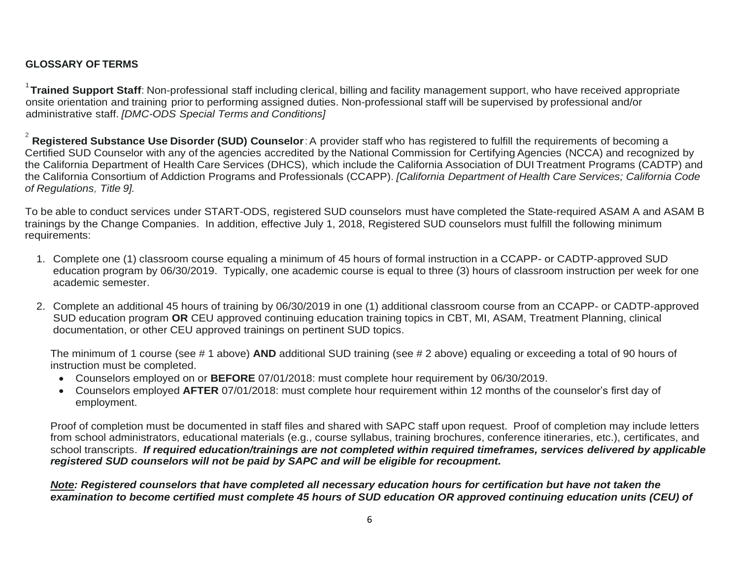# **GLOSSARY OF TERMS**

1 **Trained Support Staff**: Non-professional staff including clerical, billing and facility management support, who have received appropriate onsite orientation and training prior to performing assigned duties. Non-professional staff will be supervised by professional and/or administrative staff. *[DMC-ODS Special Terms and Conditions]*

2 **Registered Substance Use Disorder (SUD) Counselor**:A provider staff who has registered to fulfill the requirements of becoming a Certified SUD Counselor with any of the agencies accredited by the National Commission for Certifying Agencies (NCCA) and recognized by the California Department of Health Care Services (DHCS), which include the California Association of DUI Treatment Programs (CADTP) and the California Consortium of Addiction Programs and Professionals (CCAPP). *[California Department of Health Care Services; California Code of Regulations, Title 9].*

To be able to conduct services under START-ODS, registered SUD counselors must have completed the State-required ASAM A and ASAM B trainings by the Change Companies. In addition, effective July 1, 2018, Registered SUD counselors must fulfill the following minimum requirements:

- 1. Complete one (1) classroom course equaling a minimum of 45 hours of formal instruction in a CCAPP- or CADTP-approved SUD education program by 06/30/2019. Typically, one academic course is equal to three (3) hours of classroom instruction per week for one academic semester.
- 2. Complete an additional 45 hours of training by 06/30/2019 in one (1) additional classroom course from an CCAPP- or CADTP-approved SUD education program **OR** CEU approved continuing education training topics in CBT, MI, ASAM, Treatment Planning, clinical documentation, or other CEU approved trainings on pertinent SUD topics.

The minimum of 1 course (see # 1 above) **AND** additional SUD training (see # 2 above) equaling or exceeding a total of 90 hours of instruction must be completed.

- Counselors employed on or **BEFORE** 07/01/2018: must complete hour requirement by 06/30/2019.
- Counselors employed **AFTER** 07/01/2018: must complete hour requirement within 12 months of the counselor's first day of employment.

Proof of completion must be documented in staff files and shared with SAPC staff upon request. Proof of completion may include letters from school administrators, educational materials (e.g., course syllabus, training brochures, conference itineraries, etc.), certificates, and school transcripts. *If required education/trainings are not completed within required timeframes, services delivered by applicable registered SUD counselors will not be paid by SAPC and will be eligible for recoupment.*

*Note: Registered counselors that have completed all necessary education hours for certification but have not taken the examination to become certified must complete 45 hours of SUD education OR approved continuing education units (CEU) of*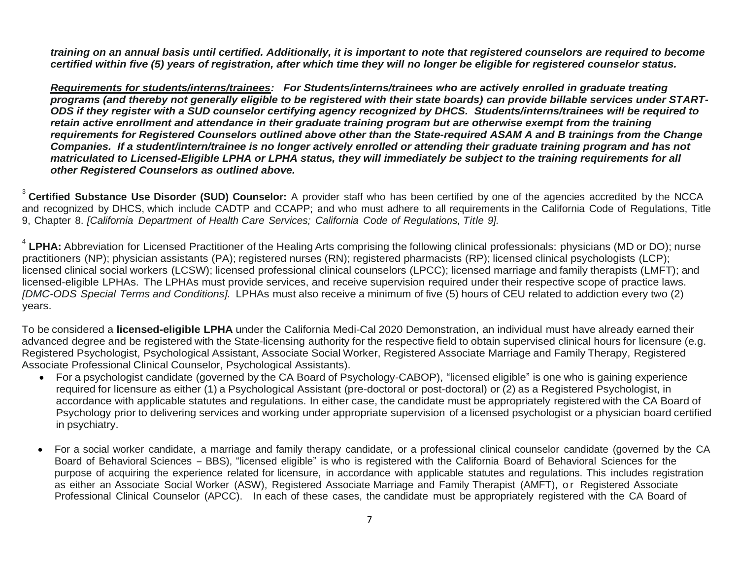*training on an annual basis until certified. Additionally, it is important to note that registered counselors are required to become certified within five (5) years of registration, after which time they will no longer be eligible for registered counselor status.* 

*Requirements for students/interns/trainees: For Students/interns/trainees who are actively enrolled in graduate treating programs (and thereby not generally eligible to be registered with their state boards) can provide billable services under START-ODS if they register with a SUD counselor certifying agency recognized by DHCS. Students/interns/trainees will be required to retain active enrollment and attendance in their graduate training program but are otherwise exempt from the training requirements for Registered Counselors outlined above other than the State-required ASAM A and B trainings from the Change Companies. If a student/intern/trainee is no longer actively enrolled or attending their graduate training program and has not matriculated to Licensed-Eligible LPHA or LPHA status, they will immediately be subject to the training requirements for all other Registered Counselors as outlined above.* 

3 **Certified Substance Use Disorder (SUD) Counselor:** A provider staff who has been certified by one of the agencies accredited by the NCCA and recognized by DHCS, which include CADTP and CCAPP; and who must adhere to all requirements in the California Code of Regulations, Title 9, Chapter 8. *[California Department of Health Care Services; California Code of Regulations, Title 9].*

<sup>4</sup> LPHA: Abbreviation for Licensed Practitioner of the Healing Arts comprising the following clinical professionals: physicians (MD or DO); nurse practitioners (NP); physician assistants (PA); registered nurses (RN); registered pharmacists (RP); licensed clinical psychologists (LCP); licensed clinical social workers (LCSW); licensed professional clinical counselors (LPCC); licensed marriage and family therapists (LMFT); and licensed-eligible LPHAs. The LPHAs must provide services, and receive supervision required under their respective scope of practice laws. *[DMC-ODS Special Terms and Conditions].* LPHAs must also receive a minimum of five (5) hours of CEU related to addiction every two (2) years.

To be considered a **licensed-eligible LPHA** under the California Medi-Cal 2020 Demonstration, an individual must have already earned their advanced degree and be registered with the State-licensing authority for the respective field to obtain supervised clinical hours for licensure (e.g. Registered Psychologist, Psychological Assistant, Associate Social Worker, Registered Associate Marriage and Family Therapy, Registered Associate Professional Clinical Counselor, Psychological Assistants).

- For a psychologist candidate (governed by the CA Board of Psychology-CABOP), "licensed eligible" is one who is gaining experience required for licensure as either (1) a Psychological Assistant (pre-doctoral or post-doctoral) or (2) as a Registered Psychologist, in accordance with applicable statutes and regulations. In either case, the candidate must be appropriately registered with the CA Board of Psychology prior to delivering services and working under appropriate supervision of a licensed psychologist or a physician board certified in psychiatry.
- For a social worker candidate, a marriage and family therapy candidate, or a professional clinical counselor candidate (governed by the CA Board of Behavioral Sciences - BBS), "licensed eligible" is who is registered with the California Board of Behavioral Sciences for the purpose of acquiring the experience related for licensure, in accordance with applicable statutes and regulations. This includes registration as either an Associate Social Worker (ASW), Registered Associate Marriage and Family Therapist (AMFT), or Registered Associate Professional Clinical Counselor (APCC). In each of these cases, the candidate must be appropriately registered with the CA Board of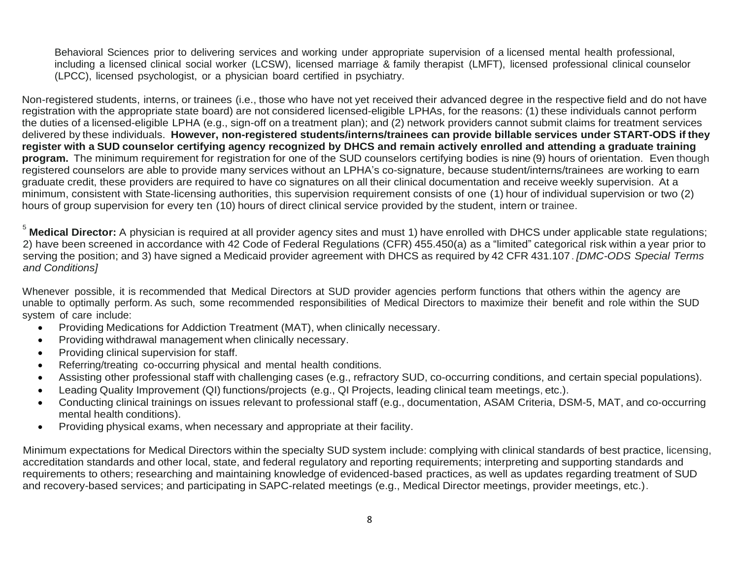Behavioral Sciences prior to delivering services and working under appropriate supervision of a licensed mental health professional, including a licensed clinical social worker (LCSW), licensed marriage & family therapist (LMFT), licensed professional clinical counselor (LPCC), licensed psychologist, or a physician board certified in psychiatry.

Non-registered students, interns, or trainees (i.e., those who have not yet received their advanced degree in the respective field and do not have registration with the appropriate state board) are not considered licensed-eligible LPHAs, for the reasons: (1) these individuals cannot perform the duties of a licensed-eligible LPHA (e.g., sign-off on a treatment plan); and (2) network providers cannot submit claims for treatment services delivered by these individuals. **However, non-registered students/interns/trainees can provide billable services under START-ODS if they register with a SUD counselor certifying agency recognized by DHCS and remain actively enrolled and attending a graduate training program.** The minimum requirement for registration for one of the SUD counselors certifying bodies is nine (9) hours of orientation. Even though registered counselors are able to provide many services without an LPHA's co-signature, because student/interns/trainees are working to earn graduate credit, these providers are required to have co signatures on all their clinical documentation and receive weekly supervision. At a minimum, consistent with State-licensing authorities, this supervision requirement consists of one (1) hour of individual supervision or two (2) hours of group supervision for every ten (10) hours of direct clinical service provided by the student, intern or trainee.

<sup>5</sup> Medical Director: A physician is required at all provider agency sites and must 1) have enrolled with DHCS under applicable state regulations; 2) have been screened in accordance with 42 Code of Federal Regulations (CFR) 455.450(a) as a "limited" categorical risk within a year prior to serving the position; and 3) have signed a Medicaid provider agreement with DHCS as required by 42 CFR 431.107. *[DMC-ODS Special Terms and Conditions]*

Whenever possible, it is recommended that Medical Directors at SUD provider agencies perform functions that others within the agency are unable to optimally perform. As such, some recommended responsibilities of Medical Directors to maximize their benefit and role within the SUD system of care include:

- Providing Medications for Addiction Treatment (MAT), when clinically necessary.
- Providing withdrawal management when clinically necessary.
- Providing clinical supervision for staff.
- Referring/treating co-occurring physical and mental health conditions.
- Assisting other professional staff with challenging cases (e.g., refractory SUD, co-occurring conditions, and certain special populations).
- Leading Quality Improvement (QI) functions/projects (e.g., QI Projects, leading clinical team meetings, etc.).
- Conducting clinical trainings on issues relevant to professional staff (e.g., documentation, ASAM Criteria, DSM-5, MAT, and co-occurring mental health conditions).
- Providing physical exams, when necessary and appropriate at their facility.

Minimum expectations for Medical Directors within the specialty SUD system include: complying with clinical standards of best practice, licensing, accreditation standards and other local, state, and federal regulatory and reporting requirements; interpreting and supporting standards and requirements to others; researching and maintaining knowledge of evidenced-based practices, as well as updates regarding treatment of SUD and recovery-based services; and participating in SAPC-related meetings (e.g., Medical Director meetings, provider meetings, etc.).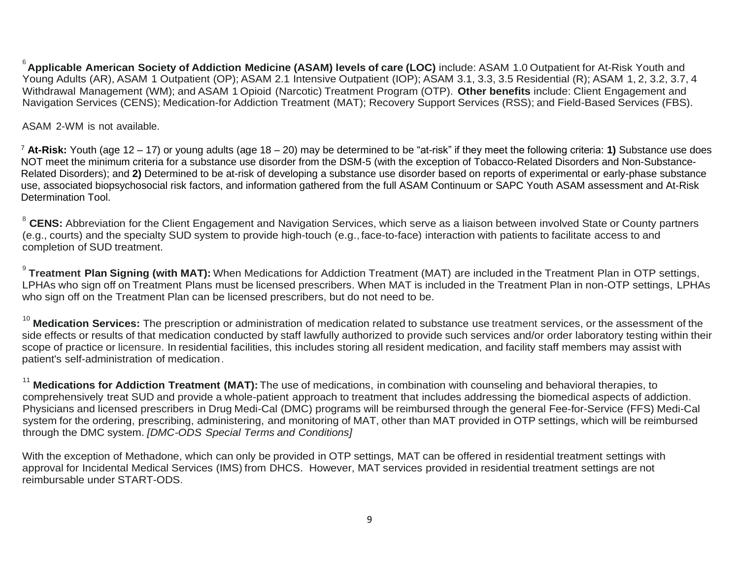6 **Applicable American Society of Addiction Medicine (ASAM) levels of care (LOC)** include: ASAM 1.0 Outpatient for At-Risk Youth and Young Adults (AR), ASAM 1 Outpatient (OP); ASAM 2.1 Intensive Outpatient (IOP); ASAM 3.1, 3.3, 3.5 Residential (R); ASAM 1, 2, 3.2, 3.7, 4 Withdrawal Management (WM); and ASAM 1 Opioid (Narcotic) Treatment Program (OTP). **Other benefits** include: Client Engagement and Navigation Services (CENS); Medication-for Addiction Treatment (MAT); Recovery Support Services (RSS); and Field-Based Services (FBS).

ASAM 2-WM is not available.

<sup>7</sup> **At-Risk:** Youth (age 12 – 17) or young adults (age 18 – 20) may be determined to be "at-risk" if they meet the following criteria: **1)** Substance use does NOT meet the minimum criteria for a substance use disorder from the DSM-5 (with the exception of Tobacco-Related Disorders and Non-Substance-Related Disorders); and **2)** Determined to be at-risk of developing a substance use disorder based on reports of experimental or early-phase substance use, associated biopsychosocial risk factors, and information gathered from the full ASAM Continuum or SAPC Youth ASAM assessment and At-Risk Determination Tool.

<sup>8</sup> CENS: Abbreviation for the Client Engagement and Navigation Services, which serve as a liaison between involved State or County partners (e.g., courts) and the specialty SUD system to provide high-touch (e.g., face-to-face) interaction with patients to facilitate access to and completion of SUD treatment.

9 **Treatment Plan Signing (with MAT):** When Medications for Addiction Treatment (MAT) are included in the Treatment Plan in OTP settings, LPHAs who sign off on Treatment Plans must be licensed prescribers. When MAT is included in the Treatment Plan in non-OTP settings, LPHAs who sign off on the Treatment Plan can be licensed prescribers, but do not need to be.

<sup>10</sup> Medication Services: The prescription or administration of medication related to substance use treatment services, or the assessment of the side effects or results of that medication conducted by staff lawfully authorized to provide such services and/or order laboratory testing within their scope of practice or licensure. In residential facilities, this includes storing all resident medication, and facility staff members may assist with patient's self-administration of medication.

<sup>11</sup> **Medications for Addiction Treatment (MAT):** The use of medications, in combination with counseling and behavioral therapies, to comprehensively treat SUD and provide a whole-patient approach to treatment that includes addressing the biomedical aspects of addiction. Physicians and licensed prescribers in Drug Medi-Cal (DMC) programs will be reimbursed through the general Fee-for-Service (FFS) Medi-Cal system for the ordering, prescribing, administering, and monitoring of MAT, other than MAT provided in OTP settings, which will be reimbursed through the DMC system. *[DMC-ODS Special Terms and Conditions]*

With the exception of Methadone, which can only be provided in OTP settings, MAT can be offered in residential treatment settings with approval for Incidental Medical Services (IMS) from DHCS. However, MAT services provided in residential treatment settings are not reimbursable under START-ODS.